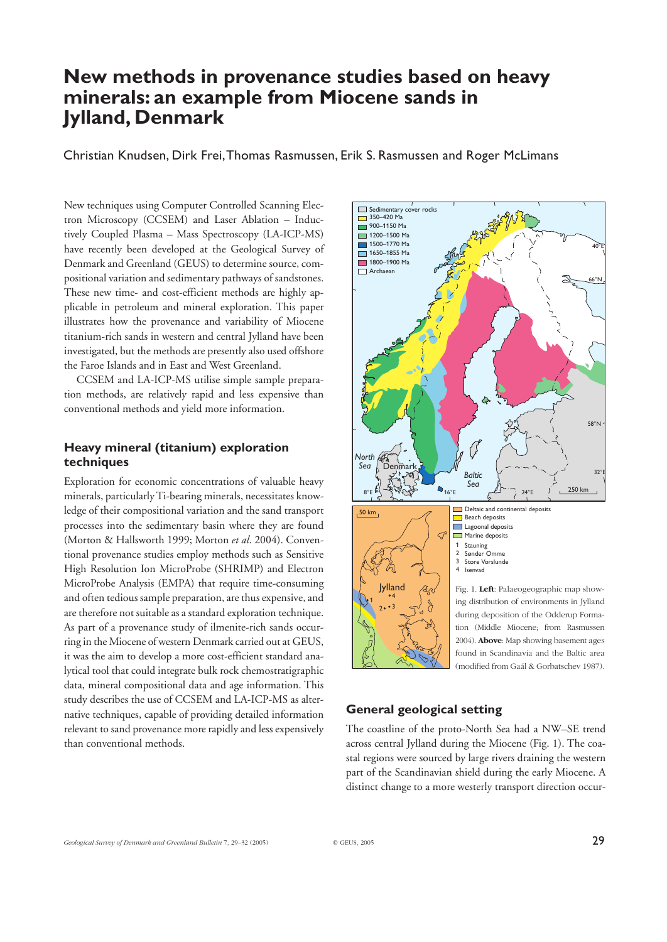# **New methods in provenance studies based on heavy minerals: an example from Miocene sands in Jylland, Denmark**

Christian Knudsen, Dirk Frei,Thomas Rasmussen, Erik S. Rasmussen and Roger McLimans

New techniques using Computer Controlled Scanning Electron Microscopy (CCSEM) and Laser Ablation – Inductively Coupled Plasma – Mass Spectroscopy (LA-ICP-MS) have recently been developed at the Geological Survey of Denmark and Greenland (GEUS) to determine source, compositional variation and sedimentary pathways of sandstones. These new time- and cost-efficient methods are highly applicable in petroleum and mineral exploration. This paper illustrates how the provenance and variability of Miocene titanium-rich sands in western and central Jylland have been investigated, but the methods are presently also used offshore the Faroe Islands and in East and West Greenland.

CCSEM and LA-ICP-MS utilise simple sample preparation methods, are relatively rapid and less expensive than conventional methods and yield more information.

# **Heavy mineral (titanium) exploration techniques**

Exploration for economic concentrations of valuable heavy minerals, particularly Ti-bearing minerals, necessitates knowledge of their compositional variation and the sand transport processes into the sedimentary basin where they are found (Morton & Hallsworth 1999; Morton *et al*. 2004). Conventional provenance studies employ methods such as Sensitive High Resolution Ion MicroProbe (SHRIMP) and Electron MicroProbe Analysis (EMPA) that require time-consuming and often tedious sample preparation, are thus expensive, and are therefore not suitable as a standard exploration technique. As part of a provenance study of ilmenite-rich sands occurring in the Miocene of western Denmark carried out at GEUS, it was the aim to develop a more cost-efficient standard analytical tool that could integrate bulk rock chemostratigraphic data, mineral compositional data and age information. This study describes the use of CCSEM and LA-ICP-MS as alternative techniques, capable of providing detailed information relevant to sand provenance more rapidly and less expensively than conventional methods.



## **General geological setting**

The coastline of the proto-North Sea had a NW–SE trend across central Jylland during the Miocene (Fig. 1). The coastal regions were sourced by large rivers draining the western part of the Scandinavian shield during the early Miocene. A distinct change to a more westerly transport direction occur-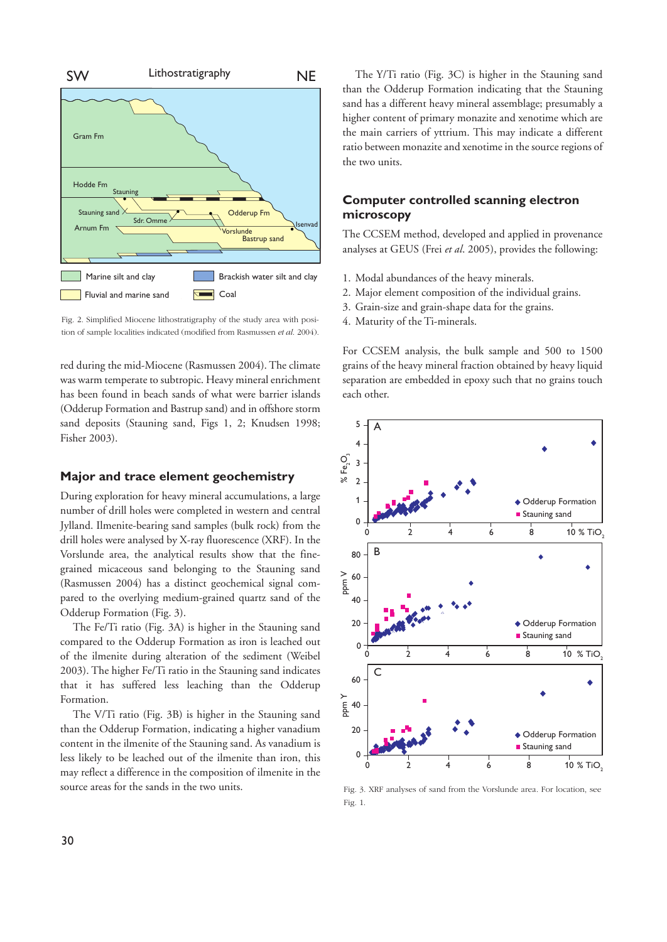

Fig. 2. Simplified Miocene lithostratigraphy of the study area with position of sample localities indicated (modified from Rasmussen *et al*. 2004).

red during the mid-Miocene (Rasmussen 2004). The climate was warm temperate to subtropic. Heavy mineral enrichment has been found in beach sands of what were barrier islands (Odderup Formation and Bastrup sand) and in offshore storm sand deposits (Stauning sand, Figs 1, 2; Knudsen 1998; Fisher 2003).

#### **Major and trace element geochemistry**

During exploration for heavy mineral accumulations, a large number of drill holes were completed in western and central Jylland. Ilmenite-bearing sand samples (bulk rock) from the drill holes were analysed by X-ray fluorescence (XRF). In the Vorslunde area, the analytical results show that the finegrained micaceous sand belonging to the Stauning sand (Rasmussen 2004) has a distinct geochemical signal compared to the overlying medium-grained quartz sand of the Odderup Formation (Fig. 3).

The Fe/Ti ratio (Fig. 3A) is higher in the Stauning sand compared to the Odderup Formation as iron is leached out of the ilmenite during alteration of the sediment (Weibel 2003). The higher Fe/Ti ratio in the Stauning sand indicates that it has suffered less leaching than the Odderup Formation.

The V/Ti ratio (Fig. 3B) is higher in the Stauning sand than the Odderup Formation, indicating a higher vanadium content in the ilmenite of the Stauning sand. As vanadium is less likely to be leached out of the ilmenite than iron, this may reflect a difference in the composition of ilmenite in the source areas for the sands in the two units.

The Y/Ti ratio (Fig. 3C) is higher in the Stauning sand than the Odderup Formation indicating that the Stauning sand has a different heavy mineral assemblage; presumably a higher content of primary monazite and xenotime which are the main carriers of yttrium. This may indicate a different ratio between monazite and xenotime in the source regions of the two units.

# **Computer controlled scanning electron microscopy**

The CCSEM method, developed and applied in provenance analyses at GEUS (Frei *et al*. 2005), provides the following:

- 1. Modal abundances of the heavy minerals.
- 2. Major element composition of the individual grains.
- 3. Grain-size and grain-shape data for the grains.
- 4. Maturity of the Ti-minerals.

For CCSEM analysis, the bulk sample and 500 to 1500 grains of the heavy mineral fraction obtained by heavy liquid separation are embedded in epoxy such that no grains touch each other.



Fig. 3. XRF analyses of sand from the Vorslunde area. For location, see Fig. 1.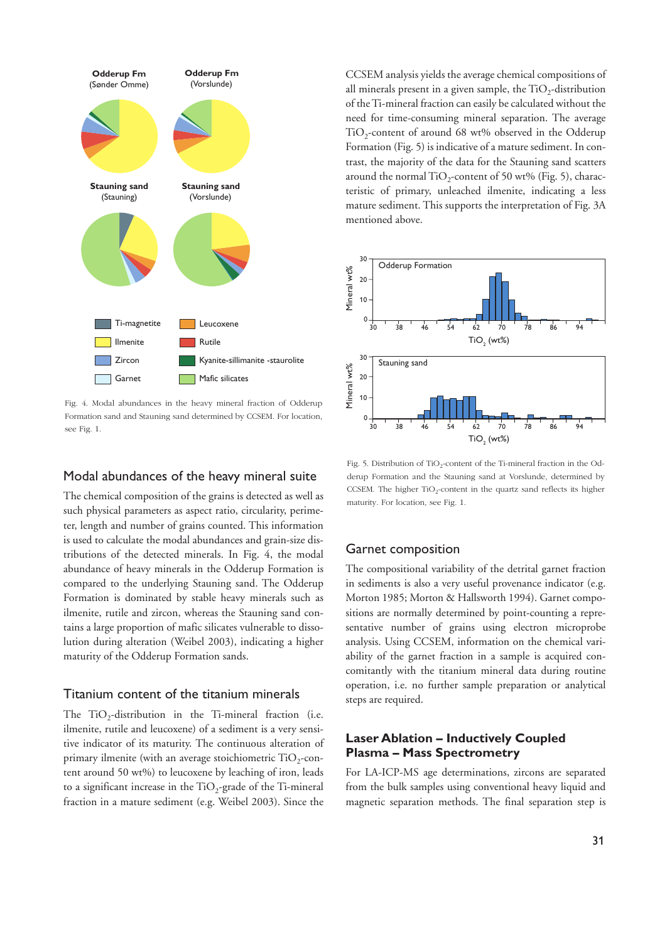

Fig. 4. Modal abundances in the heavy mineral fraction of Odderup Formation sand and Stauning sand determined by CCSEM. For location, see Fig. 1. 30 38 46 54 62 70 78 86 94

### Modal abundances of the heavy mineral suite

The chemical composition of the grains is detected as well as such physical parameters as aspect ratio, circularity, perimeter, length and number of grains counted. This information is used to calculate the modal abundances and grain-size distributions of the detected minerals. In Fig. 4, the modal abundance of heavy minerals in the Odderup Formation is compared to the underlying Stauning sand. The Odderup Formation is dominated by stable heavy minerals such as ilmenite, rutile and zircon, whereas the Stauning sand contains a large proportion of mafic silicates vulnerable to dissolution during alteration (Weibel 2003), indicating a higher maturity of the Odderup Formation sands.

# Titanium content of the titanium minerals

The  $TiO<sub>2</sub>$ -distribution in the Ti-mineral fraction (i.e. ilmenite, rutile and leucoxene) of a sediment is a very sensitive indicator of its maturity. The continuous alteration of primary ilmenite (with an average stoichiometric  $TiO<sub>2</sub>$ -content around 50 wt%) to leucoxene by leaching of iron, leads to a significant increase in the  $TiO<sub>2</sub>$ -grade of the Ti-mineral fraction in a mature sediment (e.g. Weibel 2003). Since the CCSEM analysis yields the average chemical compositions of all minerals present in a given sample, the  $TiO<sub>2</sub>$ -distribution of the Ti-mineral fraction can easily be calculated without the need for time-consuming mineral separation. The average  $TiO<sub>2</sub>$ -content of around 68 wt% observed in the Odderup Formation (Fig. 5) is indicative of a mature sediment. In contrast, the majority of the data for the Stauning sand scatters around the normal TiO<sub>2</sub>-content of 50 wt% (Fig. 5), characteristic of primary, unleached ilmenite, indicating a less mature sediment. This supports the interpretation of Fig. 3A mentioned above.



Fig. 5. Distribution of TiO<sub>2</sub>-content of the Ti-mineral fraction in the Odderup Formation and the Stauning sand at Vorslunde, determined by CCSEM. The higher  $TiO<sub>2</sub>$ -content in the quartz sand reflects its higher maturity. For location, see Fig. 1.

### Garnet composition

The compositional variability of the detrital garnet fraction in sediments is also a very useful provenance indicator (e.g. Morton 1985; Morton & Hallsworth 1994). Garnet compositions are normally determined by point-counting a representative number of grains using electron microprobe analysis. Using CCSEM, information on the chemical variability of the garnet fraction in a sample is acquired concomitantly with the titanium mineral data during routine operation, i.e. no further sample preparation or analytical steps are required.

# **Laser Ablation – Inductively Coupled Plasma – Mass Spectrometry**

For LA-ICP-MS age determinations, zircons are separated from the bulk samples using conventional heavy liquid and magnetic separation methods. The final separation step is